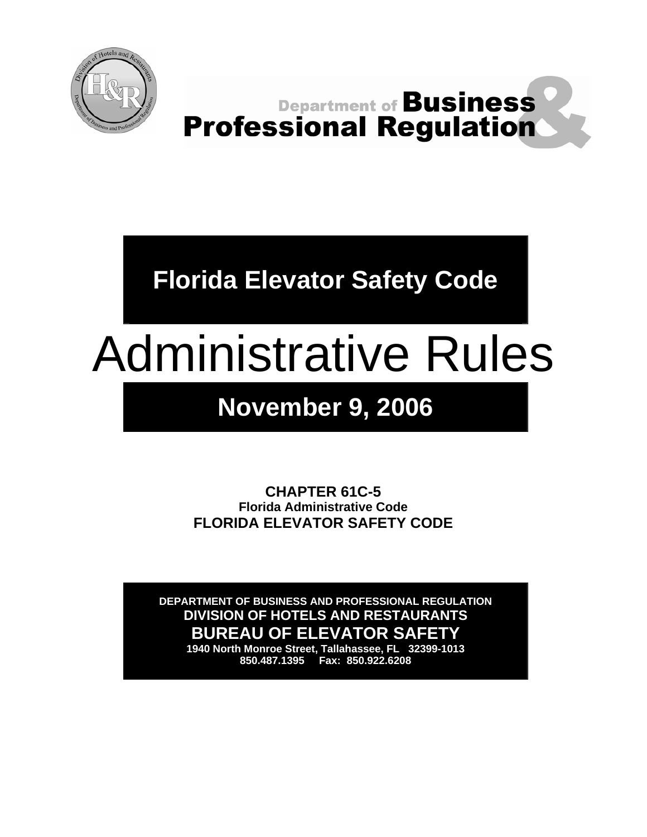

**Department of Business Professional Regulation** 

**Florida Elevator Safety Code** 

# Administrative Rules

# **November 9, 2006**

**CHAPTER 61C-5 Florida Administrative Code FLORIDA ELEVATOR SAFETY CODE** 

**DEPARTMENT OF BUSINESS AND PROFESSIONAL REGULATION DIVISION OF HOTELS AND RESTAURANTS BUREAU OF ELEVATOR SAFETY** 

**1940 North Monroe Street, Tallahassee, FL 32399-1013 850.487.1395 Fax: 850.922.6208**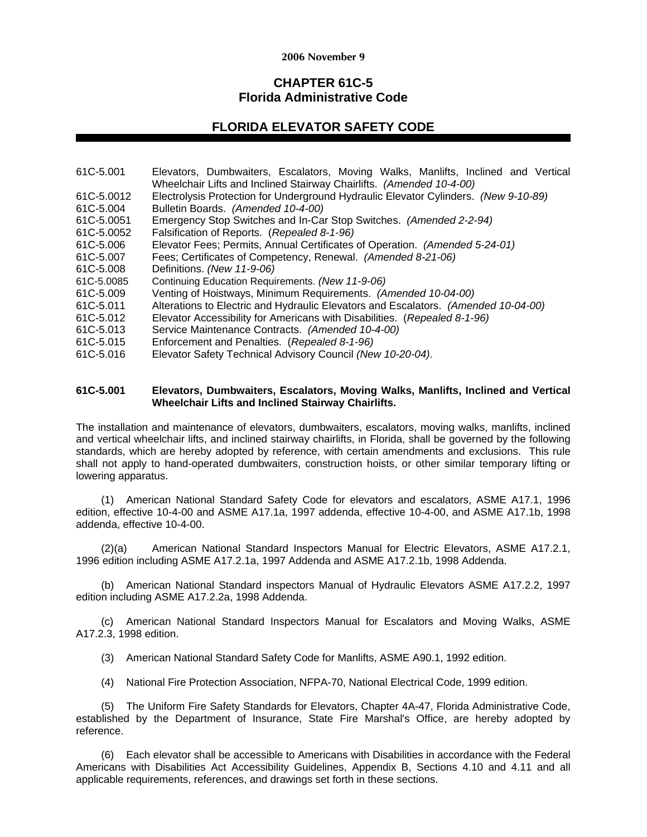## **2006 November 9**

# **CHAPTER 61C-5 Florida Administrative Code**

# **FLORIDA ELEVATOR SAFETY CODE**

61C-5.001 Elevators, Dumbwaiters, Escalators, Moving Walks, Manlifts, Inclined and Vertical Wheelchair Lifts and Inclined Stairway Chairlifts. *(Amended 10-4-00)* 61C-5.0012 Electrolysis Protection for Underground Hydraulic Elevator Cylinders. *(New 9-10-89)* 61C-5.004 Bulletin Boards. *(Amended 10-4-00)* 61C-5.0051 Emergency Stop Switches and In-Car Stop Switches. *(Amended 2-2-94)* 61C-5.0052 Falsification of Reports. (*Repealed 8-1-96)* 61C-5.006 Elevator Fees; Permits, Annual Certificates of Operation. *(Amended 5-24-01)* 61C-5.007 Fees; Certificates of Competency, Renewal. *(Amended 8-21-06)*  61C-5.008 Definitions. *(New 11-9-06)* 61C-5.0085 Continuing Education Requirements. *(New 11-9-06)* 61C-5.009 Venting of Hoistways, Minimum Requirements. *(Amended 10-04-00)* 61C-5.011 Alterations to Electric and Hydraulic Elevators and Escalators. *(Amended 10-04-00)* 61C-5.012 Elevator Accessibility for Americans with Disabilities. (*Repealed 8-1-96)* 61C-5.013 Service Maintenance Contracts. *(Amended 10-4-00)* 61C-5.015 Enforcement and Penalties. (*Repealed 8-1-96)*  61C-5.016 Elevator Safety Technical Advisory Council *(New 10-20-04)*.

#### **61C-5.001 Elevators, Dumbwaiters, Escalators, Moving Walks, Manlifts, Inclined and Vertical Wheelchair Lifts and Inclined Stairway Chairlifts.**

The installation and maintenance of elevators, dumbwaiters, escalators, moving walks, manlifts, inclined and vertical wheelchair lifts, and inclined stairway chairlifts, in Florida, shall be governed by the following standards, which are hereby adopted by reference, with certain amendments and exclusions. This rule shall not apply to hand-operated dumbwaiters, construction hoists, or other similar temporary lifting or lowering apparatus.

(1) American National Standard Safety Code for elevators and escalators, ASME A17.1, 1996 edition, effective 10-4-00 and ASME A17.1a, 1997 addenda, effective 10-4-00, and ASME A17.1b, 1998 addenda, effective 10-4-00.

(2)(a) American National Standard Inspectors Manual for Electric Elevators, ASME A17.2.1, 1996 edition including ASME A17.2.1a, 1997 Addenda and ASME A17.2.1b, 1998 Addenda.

 (b) American National Standard inspectors Manual of Hydraulic Elevators ASME A17.2.2, 1997 edition including ASME A17.2.2a, 1998 Addenda.

 (c) American National Standard Inspectors Manual for Escalators and Moving Walks, ASME A17.2.3, 1998 edition.

(3) American National Standard Safety Code for Manlifts, ASME A90.1, 1992 edition.

(4) National Fire Protection Association, NFPA-70, National Electrical Code, 1999 edition.

(5) The Uniform Fire Safety Standards for Elevators, Chapter 4A-47, Florida Administrative Code, established by the Department of Insurance, State Fire Marshal's Office, are hereby adopted by reference.

(6) Each elevator shall be accessible to Americans with Disabilities in accordance with the Federal Americans with Disabilities Act Accessibility Guidelines, Appendix B, Sections 4.10 and 4.11 and all applicable requirements, references, and drawings set forth in these sections.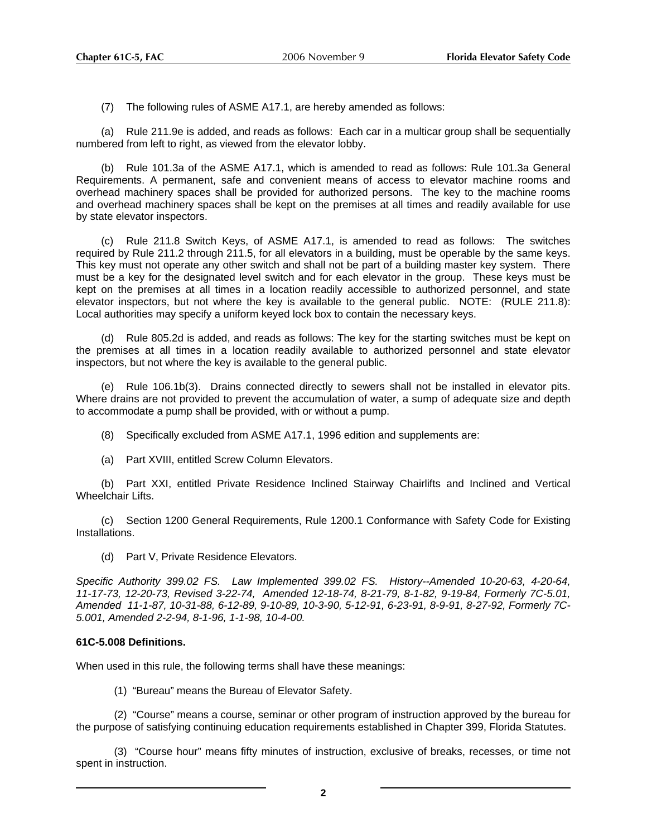(7) The following rules of ASME A17.1, are hereby amended as follows:

(a) Rule 211.9e is added, and reads as follows: Each car in a multicar group shall be sequentially numbered from left to right, as viewed from the elevator lobby.

(b) Rule 101.3a of the ASME A17.1, which is amended to read as follows: Rule 101.3a General Requirements. A permanent, safe and convenient means of access to elevator machine rooms and overhead machinery spaces shall be provided for authorized persons. The key to the machine rooms and overhead machinery spaces shall be kept on the premises at all times and readily available for use by state elevator inspectors.

(c) Rule 211.8 Switch Keys, of ASME A17.1, is amended to read as follows: The switches required by Rule 211.2 through 211.5, for all elevators in a building, must be operable by the same keys. This key must not operate any other switch and shall not be part of a building master key system. There must be a key for the designated level switch and for each elevator in the group. These keys must be kept on the premises at all times in a location readily accessible to authorized personnel, and state elevator inspectors, but not where the key is available to the general public. NOTE: (RULE 211.8): Local authorities may specify a uniform keyed lock box to contain the necessary keys.

(d) Rule 805.2d is added, and reads as follows: The key for the starting switches must be kept on the premises at all times in a location readily available to authorized personnel and state elevator inspectors, but not where the key is available to the general public.

Rule 106.1b(3). Drains connected directly to sewers shall not be installed in elevator pits. Where drains are not provided to prevent the accumulation of water, a sump of adequate size and depth to accommodate a pump shall be provided, with or without a pump.

- (8) Specifically excluded from ASME A17.1, 1996 edition and supplements are:
- (a) Part XVIII, entitled Screw Column Elevators.

(b) Part XXI, entitled Private Residence Inclined Stairway Chairlifts and Inclined and Vertical Wheelchair Lifts.

(c) Section 1200 General Requirements, Rule 1200.1 Conformance with Safety Code for Existing Installations.

(d) Part V, Private Residence Elevators.

*Specific Authority 399.02 FS. Law Implemented 399.02 FS. History--Amended 10-20-63, 4-20-64, 11-17-73, 12-20-73, Revised 3-22-74, Amended 12-18-74, 8-21-79, 8-1-82, 9-19-84, Formerly 7C-5.01, Amended 11-1-87, 10-31-88, 6-12-89, 9-10-89, 10-3-90, 5-12-91, 6-23-91, 8-9-91, 8-27-92, Formerly 7C-5.001, Amended 2-2-94, 8-1-96, 1-1-98, 10-4-00.*

#### **61C-5.008 Definitions.**

When used in this rule, the following terms shall have these meanings:

(1) "Bureau" means the Bureau of Elevator Safety.

(2) "Course" means a course, seminar or other program of instruction approved by the bureau for the purpose of satisfying continuing education requirements established in Chapter 399, Florida Statutes.

(3) "Course hour" means fifty minutes of instruction, exclusive of breaks, recesses, or time not spent in instruction.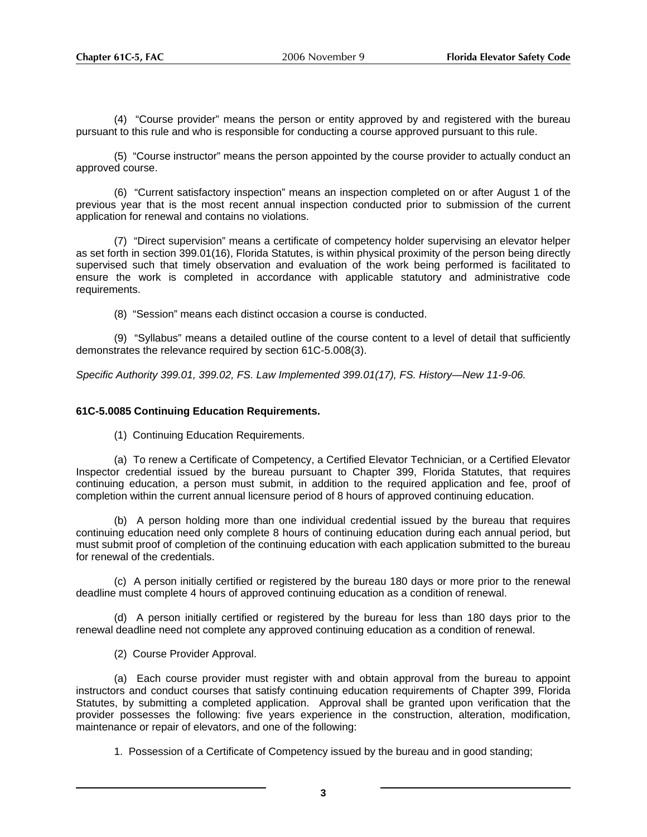(4) "Course provider" means the person or entity approved by and registered with the bureau pursuant to this rule and who is responsible for conducting a course approved pursuant to this rule.

(5) "Course instructor" means the person appointed by the course provider to actually conduct an approved course.

(6) "Current satisfactory inspection" means an inspection completed on or after August 1 of the previous year that is the most recent annual inspection conducted prior to submission of the current application for renewal and contains no violations.

(7) "Direct supervision" means a certificate of competency holder supervising an elevator helper as set forth in section 399.01(16), Florida Statutes, is within physical proximity of the person being directly supervised such that timely observation and evaluation of the work being performed is facilitated to ensure the work is completed in accordance with applicable statutory and administrative code requirements.

(8) "Session" means each distinct occasion a course is conducted.

(9) "Syllabus" means a detailed outline of the course content to a level of detail that sufficiently demonstrates the relevance required by section 61C-5.008(3).

*Specific Authority 399.01, 399.02, FS. Law Implemented 399.01(17), FS. History—New 11-9-06.* 

#### **61C-5.0085 Continuing Education Requirements.**

(1) Continuing Education Requirements.

(a) To renew a Certificate of Competency, a Certified Elevator Technician, or a Certified Elevator Inspector credential issued by the bureau pursuant to Chapter 399, Florida Statutes, that requires continuing education, a person must submit, in addition to the required application and fee, proof of completion within the current annual licensure period of 8 hours of approved continuing education.

(b) A person holding more than one individual credential issued by the bureau that requires continuing education need only complete 8 hours of continuing education during each annual period, but must submit proof of completion of the continuing education with each application submitted to the bureau for renewal of the credentials.

(c) A person initially certified or registered by the bureau 180 days or more prior to the renewal deadline must complete 4 hours of approved continuing education as a condition of renewal.

(d) A person initially certified or registered by the bureau for less than 180 days prior to the renewal deadline need not complete any approved continuing education as a condition of renewal.

(2) Course Provider Approval.

(a) Each course provider must register with and obtain approval from the bureau to appoint instructors and conduct courses that satisfy continuing education requirements of Chapter 399, Florida Statutes, by submitting a completed application. Approval shall be granted upon verification that the provider possesses the following: five years experience in the construction, alteration, modification, maintenance or repair of elevators, and one of the following:

1. Possession of a Certificate of Competency issued by the bureau and in good standing;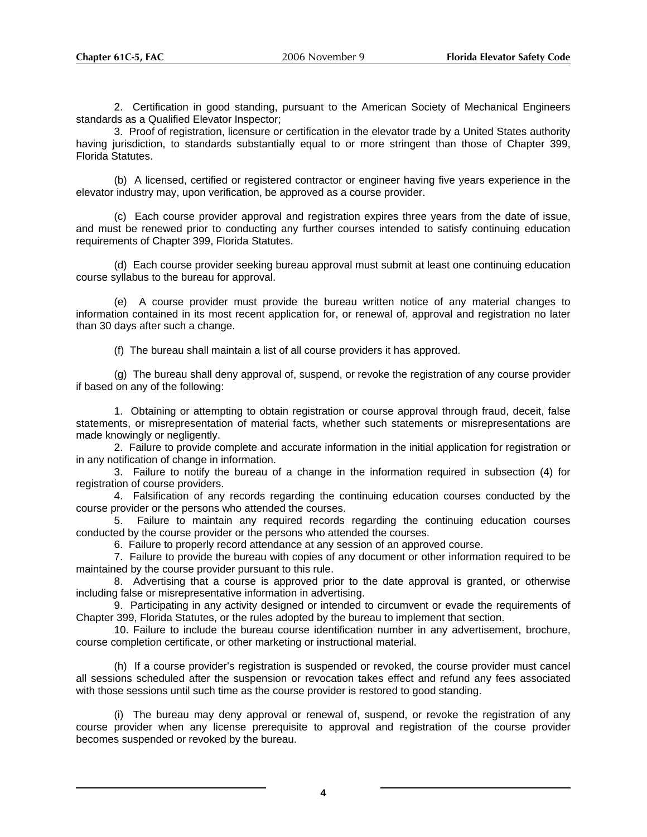2. Certification in good standing, pursuant to the American Society of Mechanical Engineers standards as a Qualified Elevator Inspector;

3. Proof of registration, licensure or certification in the elevator trade by a United States authority having jurisdiction, to standards substantially equal to or more stringent than those of Chapter 399, Florida Statutes.

(b) A licensed, certified or registered contractor or engineer having five years experience in the elevator industry may, upon verification, be approved as a course provider.

(c) Each course provider approval and registration expires three years from the date of issue, and must be renewed prior to conducting any further courses intended to satisfy continuing education requirements of Chapter 399, Florida Statutes.

(d) Each course provider seeking bureau approval must submit at least one continuing education course syllabus to the bureau for approval.

(e) A course provider must provide the bureau written notice of any material changes to information contained in its most recent application for, or renewal of, approval and registration no later than 30 days after such a change.

(f) The bureau shall maintain a list of all course providers it has approved.

(g) The bureau shall deny approval of, suspend, or revoke the registration of any course provider if based on any of the following:

1. Obtaining or attempting to obtain registration or course approval through fraud, deceit, false statements, or misrepresentation of material facts, whether such statements or misrepresentations are made knowingly or negligently.

2. Failure to provide complete and accurate information in the initial application for registration or in any notification of change in information.

3. Failure to notify the bureau of a change in the information required in subsection (4) for registration of course providers.

4. Falsification of any records regarding the continuing education courses conducted by the course provider or the persons who attended the courses.

5. Failure to maintain any required records regarding the continuing education courses conducted by the course provider or the persons who attended the courses.

6. Failure to properly record attendance at any session of an approved course.

7. Failure to provide the bureau with copies of any document or other information required to be maintained by the course provider pursuant to this rule.

8. Advertising that a course is approved prior to the date approval is granted, or otherwise including false or misrepresentative information in advertising.

9. Participating in any activity designed or intended to circumvent or evade the requirements of Chapter 399, Florida Statutes, or the rules adopted by the bureau to implement that section.

10. Failure to include the bureau course identification number in any advertisement, brochure, course completion certificate, or other marketing or instructional material.

(h) If a course provider's registration is suspended or revoked, the course provider must cancel all sessions scheduled after the suspension or revocation takes effect and refund any fees associated with those sessions until such time as the course provider is restored to good standing.

(i) The bureau may deny approval or renewal of, suspend, or revoke the registration of any course provider when any license prerequisite to approval and registration of the course provider becomes suspended or revoked by the bureau.

**4**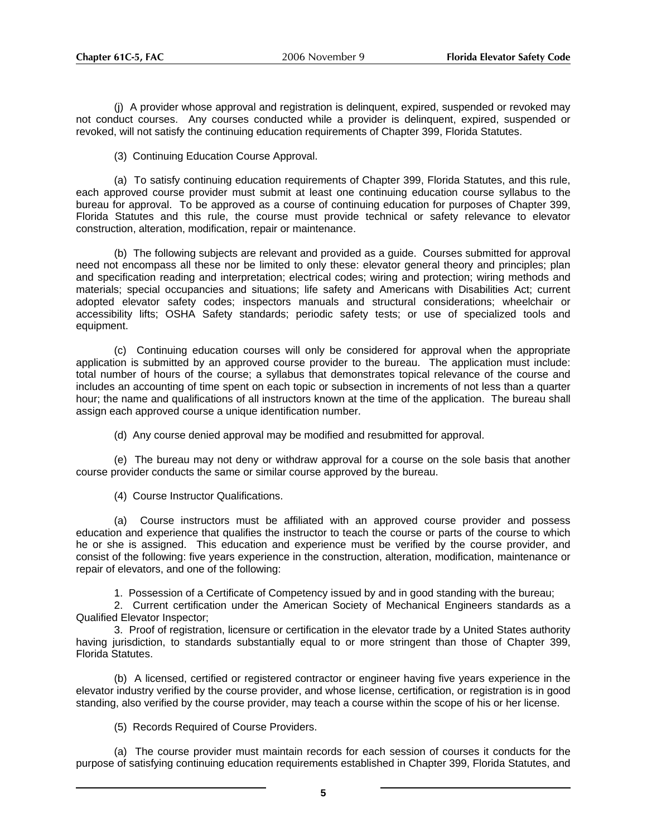(j) A provider whose approval and registration is delinquent, expired, suspended or revoked may not conduct courses. Any courses conducted while a provider is delinquent, expired, suspended or revoked, will not satisfy the continuing education requirements of Chapter 399, Florida Statutes.

(3) Continuing Education Course Approval.

(a) To satisfy continuing education requirements of Chapter 399, Florida Statutes, and this rule, each approved course provider must submit at least one continuing education course syllabus to the bureau for approval. To be approved as a course of continuing education for purposes of Chapter 399, Florida Statutes and this rule, the course must provide technical or safety relevance to elevator construction, alteration, modification, repair or maintenance.

(b) The following subjects are relevant and provided as a guide. Courses submitted for approval need not encompass all these nor be limited to only these: elevator general theory and principles; plan and specification reading and interpretation; electrical codes; wiring and protection; wiring methods and materials; special occupancies and situations; life safety and Americans with Disabilities Act; current adopted elevator safety codes; inspectors manuals and structural considerations; wheelchair or accessibility lifts; OSHA Safety standards; periodic safety tests; or use of specialized tools and equipment.

(c) Continuing education courses will only be considered for approval when the appropriate application is submitted by an approved course provider to the bureau. The application must include: total number of hours of the course; a syllabus that demonstrates topical relevance of the course and includes an accounting of time spent on each topic or subsection in increments of not less than a quarter hour; the name and qualifications of all instructors known at the time of the application. The bureau shall assign each approved course a unique identification number.

(d) Any course denied approval may be modified and resubmitted for approval.

(e) The bureau may not deny or withdraw approval for a course on the sole basis that another course provider conducts the same or similar course approved by the bureau.

(4) Course Instructor Qualifications.

(a) Course instructors must be affiliated with an approved course provider and possess education and experience that qualifies the instructor to teach the course or parts of the course to which he or she is assigned. This education and experience must be verified by the course provider, and consist of the following: five years experience in the construction, alteration, modification, maintenance or repair of elevators, and one of the following:

1. Possession of a Certificate of Competency issued by and in good standing with the bureau;

2. Current certification under the American Society of Mechanical Engineers standards as a Qualified Elevator Inspector;

3. Proof of registration, licensure or certification in the elevator trade by a United States authority having jurisdiction, to standards substantially equal to or more stringent than those of Chapter 399, Florida Statutes.

(b) A licensed, certified or registered contractor or engineer having five years experience in the elevator industry verified by the course provider, and whose license, certification, or registration is in good standing, also verified by the course provider, may teach a course within the scope of his or her license.

(5) Records Required of Course Providers.

(a) The course provider must maintain records for each session of courses it conducts for the purpose of satisfying continuing education requirements established in Chapter 399, Florida Statutes, and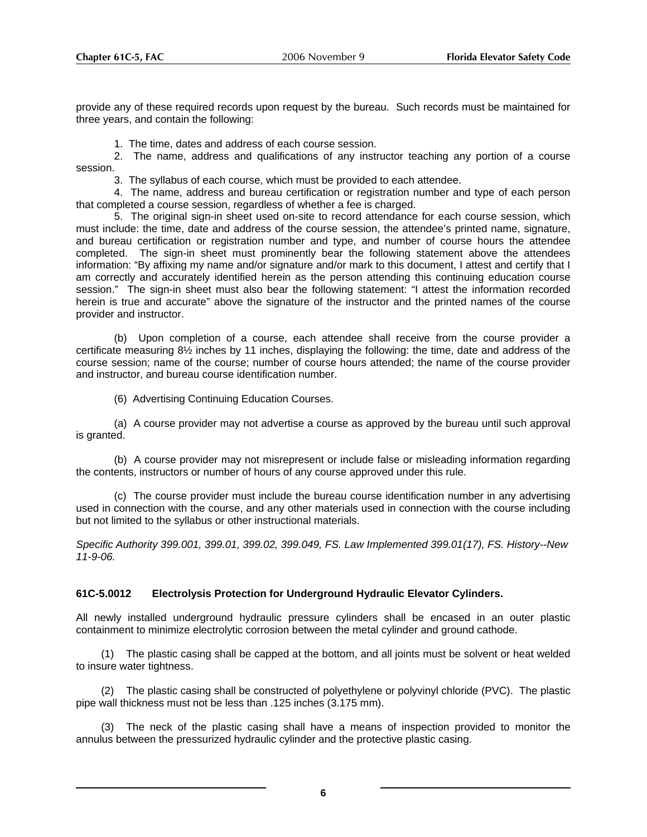provide any of these required records upon request by the bureau. Such records must be maintained for three years, and contain the following:

1. The time, dates and address of each course session.

2. The name, address and qualifications of any instructor teaching any portion of a course session.

3. The syllabus of each course, which must be provided to each attendee.

4. The name, address and bureau certification or registration number and type of each person that completed a course session, regardless of whether a fee is charged.

5. The original sign-in sheet used on-site to record attendance for each course session, which must include: the time, date and address of the course session, the attendee's printed name, signature, and bureau certification or registration number and type, and number of course hours the attendee completed. The sign-in sheet must prominently bear the following statement above the attendees information: "By affixing my name and/or signature and/or mark to this document, I attest and certify that I am correctly and accurately identified herein as the person attending this continuing education course session." The sign-in sheet must also bear the following statement: "I attest the information recorded herein is true and accurate" above the signature of the instructor and the printed names of the course provider and instructor.

(b) Upon completion of a course, each attendee shall receive from the course provider a certificate measuring 8½ inches by 11 inches, displaying the following: the time, date and address of the course session; name of the course; number of course hours attended; the name of the course provider and instructor, and bureau course identification number.

(6) Advertising Continuing Education Courses.

(a) A course provider may not advertise a course as approved by the bureau until such approval is granted.

(b) A course provider may not misrepresent or include false or misleading information regarding the contents, instructors or number of hours of any course approved under this rule.

(c) The course provider must include the bureau course identification number in any advertising used in connection with the course, and any other materials used in connection with the course including but not limited to the syllabus or other instructional materials.

*Specific Authority 399.001, 399.01, 399.02, 399.049, FS. Law Implemented 399.01(17), FS. History--New 11-9-06.* 

#### **61C-5.0012 Electrolysis Protection for Underground Hydraulic Elevator Cylinders.**

All newly installed underground hydraulic pressure cylinders shall be encased in an outer plastic containment to minimize electrolytic corrosion between the metal cylinder and ground cathode.

(1) The plastic casing shall be capped at the bottom, and all joints must be solvent or heat welded to insure water tightness.

(2) The plastic casing shall be constructed of polyethylene or polyvinyl chloride (PVC). The plastic pipe wall thickness must not be less than .125 inches (3.175 mm).

(3) The neck of the plastic casing shall have a means of inspection provided to monitor the annulus between the pressurized hydraulic cylinder and the protective plastic casing.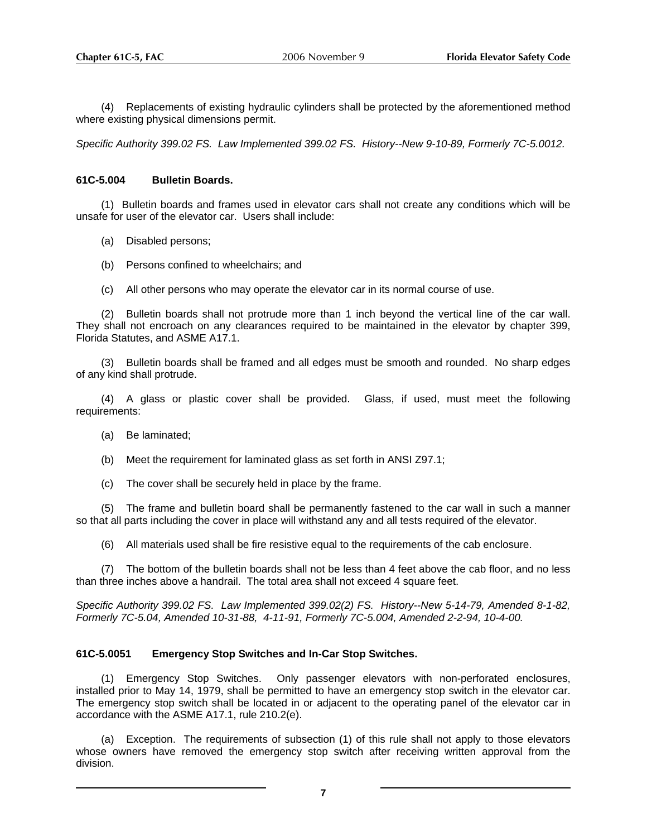(4) Replacements of existing hydraulic cylinders shall be protected by the aforementioned method where existing physical dimensions permit.

*Specific Authority 399.02 FS. Law Implemented 399.02 FS. History--New 9-10-89, Formerly 7C-5.0012.* 

#### **61C-5.004 Bulletin Boards.**

(1) Bulletin boards and frames used in elevator cars shall not create any conditions which will be unsafe for user of the elevator car. Users shall include:

- (a) Disabled persons;
- (b) Persons confined to wheelchairs; and
- (c) All other persons who may operate the elevator car in its normal course of use.

(2) Bulletin boards shall not protrude more than 1 inch beyond the vertical line of the car wall. They shall not encroach on any clearances required to be maintained in the elevator by chapter 399, Florida Statutes, and ASME A17.1.

(3) Bulletin boards shall be framed and all edges must be smooth and rounded. No sharp edges of any kind shall protrude.

(4) A glass or plastic cover shall be provided. Glass, if used, must meet the following requirements:

- (a) Be laminated;
- (b) Meet the requirement for laminated glass as set forth in ANSI Z97.1;
- (c) The cover shall be securely held in place by the frame.

(5) The frame and bulletin board shall be permanently fastened to the car wall in such a manner so that all parts including the cover in place will withstand any and all tests required of the elevator.

(6) All materials used shall be fire resistive equal to the requirements of the cab enclosure.

(7) The bottom of the bulletin boards shall not be less than 4 feet above the cab floor, and no less than three inches above a handrail. The total area shall not exceed 4 square feet.

*Specific Authority 399.02 FS. Law Implemented 399.02(2) FS. History--New 5-14-79, Amended 8-1-82, Formerly 7C-5.04, Amended 10-31-88, 4-11-91, Formerly 7C-5.004, Amended 2-2-94, 10-4-00.*

#### **61C-5.0051 Emergency Stop Switches and In-Car Stop Switches.**

(1) Emergency Stop Switches. Only passenger elevators with non-perforated enclosures, installed prior to May 14, 1979, shall be permitted to have an emergency stop switch in the elevator car. The emergency stop switch shall be located in or adjacent to the operating panel of the elevator car in accordance with the ASME A17.1, rule 210.2(e).

(a) Exception. The requirements of subsection (1) of this rule shall not apply to those elevators whose owners have removed the emergency stop switch after receiving written approval from the division.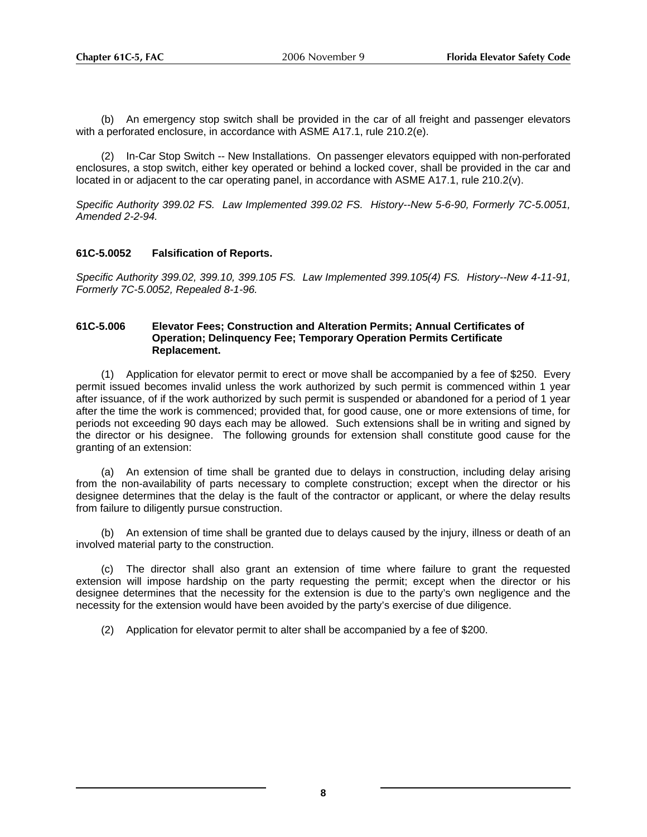(b) An emergency stop switch shall be provided in the car of all freight and passenger elevators with a perforated enclosure, in accordance with ASME A17.1, rule 210.2(e).

(2) In-Car Stop Switch -- New Installations. On passenger elevators equipped with non-perforated enclosures, a stop switch, either key operated or behind a locked cover, shall be provided in the car and located in or adjacent to the car operating panel, in accordance with ASME A17.1, rule 210.2(v).

*Specific Authority 399.02 FS. Law Implemented 399.02 FS. History--New 5-6-90, Formerly 7C-5.0051, Amended 2-2-94.* 

#### **61C-5.0052 Falsification of Reports.**

*Specific Authority 399.02, 399.10, 399.105 FS. Law Implemented 399.105(4) FS. History--New 4-11-91, Formerly 7C-5.0052, Repealed 8-1-96.*

#### **61C-5.006 Elevator Fees; Construction and Alteration Permits; Annual Certificates of Operation; Delinquency Fee; Temporary Operation Permits Certificate Replacement.**

(1) Application for elevator permit to erect or move shall be accompanied by a fee of \$250. Every permit issued becomes invalid unless the work authorized by such permit is commenced within 1 year after issuance, of if the work authorized by such permit is suspended or abandoned for a period of 1 year after the time the work is commenced; provided that, for good cause, one or more extensions of time, for periods not exceeding 90 days each may be allowed. Such extensions shall be in writing and signed by the director or his designee. The following grounds for extension shall constitute good cause for the granting of an extension:

(a) An extension of time shall be granted due to delays in construction, including delay arising from the non-availability of parts necessary to complete construction; except when the director or his designee determines that the delay is the fault of the contractor or applicant, or where the delay results from failure to diligently pursue construction.

(b) An extension of time shall be granted due to delays caused by the injury, illness or death of an involved material party to the construction.

(c) The director shall also grant an extension of time where failure to grant the requested extension will impose hardship on the party requesting the permit; except when the director or his designee determines that the necessity for the extension is due to the party's own negligence and the necessity for the extension would have been avoided by the party's exercise of due diligence.

(2) Application for elevator permit to alter shall be accompanied by a fee of \$200.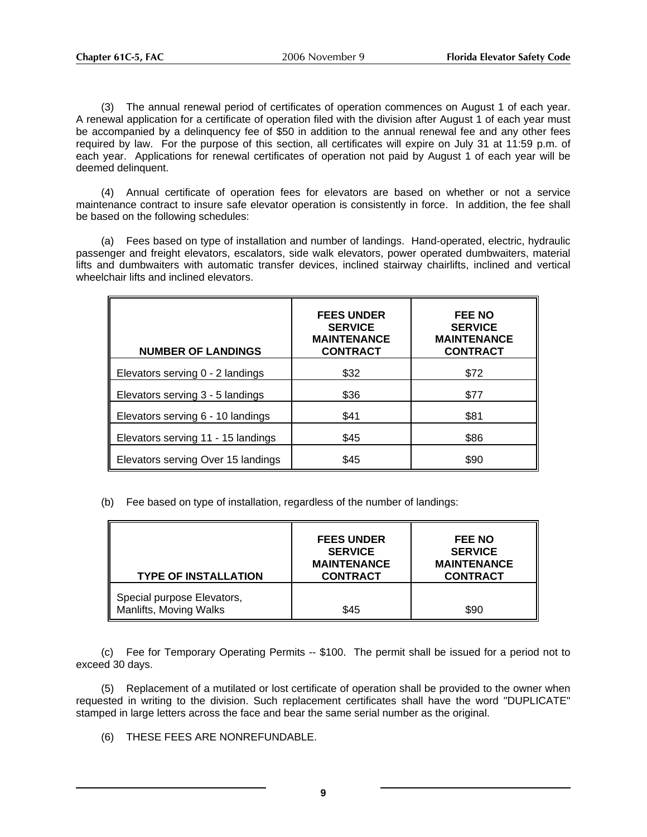(3) The annual renewal period of certificates of operation commences on August 1 of each year. A renewal application for a certificate of operation filed with the division after August 1 of each year must be accompanied by a delinquency fee of \$50 in addition to the annual renewal fee and any other fees required by law. For the purpose of this section, all certificates will expire on July 31 at 11:59 p.m. of each year. Applications for renewal certificates of operation not paid by August 1 of each year will be deemed delinquent.

(4) Annual certificate of operation fees for elevators are based on whether or not a service maintenance contract to insure safe elevator operation is consistently in force. In addition, the fee shall be based on the following schedules:

(a) Fees based on type of installation and number of landings. Hand-operated, electric, hydraulic passenger and freight elevators, escalators, side walk elevators, power operated dumbwaiters, material lifts and dumbwaiters with automatic transfer devices, inclined stairway chairlifts, inclined and vertical wheelchair lifts and inclined elevators.

| <b>NUMBER OF LANDINGS</b>          | <b>FEES UNDER</b><br><b>SERVICE</b><br><b>MAINTENANCE</b><br><b>CONTRACT</b> | <b>FEE NO</b><br><b>SERVICE</b><br><b>MAINTENANCE</b><br><b>CONTRACT</b> |
|------------------------------------|------------------------------------------------------------------------------|--------------------------------------------------------------------------|
| Elevators serving 0 - 2 landings   | \$32                                                                         | \$72                                                                     |
| Elevators serving 3 - 5 landings   | \$36                                                                         | \$77                                                                     |
| Elevators serving 6 - 10 landings  | \$41                                                                         | \$81                                                                     |
| Elevators serving 11 - 15 landings | \$45                                                                         | \$86                                                                     |
| Elevators serving Over 15 landings | \$45                                                                         | \$90                                                                     |

(b) Fee based on type of installation, regardless of the number of landings:

| <b>TYPE OF INSTALLATION</b>                          | <b>FEES UNDER</b><br><b>SERVICE</b><br><b>MAINTENANCE</b><br><b>CONTRACT</b> | <b>FEE NO</b><br><b>SERVICE</b><br><b>MAINTENANCE</b><br><b>CONTRACT</b> |
|------------------------------------------------------|------------------------------------------------------------------------------|--------------------------------------------------------------------------|
| Special purpose Elevators,<br>Manlifts, Moving Walks | \$45                                                                         | \$90                                                                     |

(c) Fee for Temporary Operating Permits -- \$100. The permit shall be issued for a period not to exceed 30 days.

 (5) Replacement of a mutilated or lost certificate of operation shall be provided to the owner when requested in writing to the division. Such replacement certificates shall have the word "DUPLICATE" stamped in large letters across the face and bear the same serial number as the original.

(6) THESE FEES ARE NONREFUNDABLE.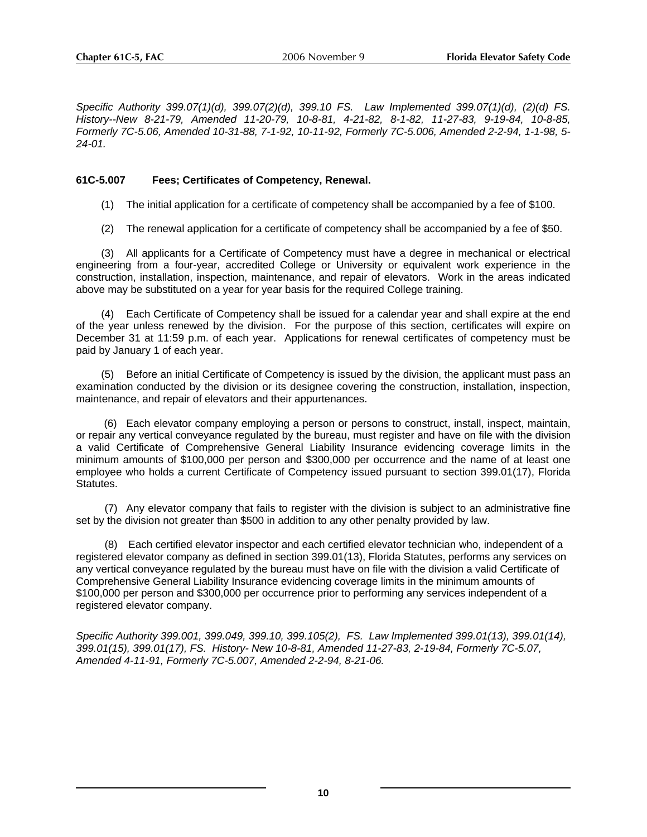*Specific Authority 399.07(1)(d), 399.07(2)(d), 399.10 FS. Law Implemented 399.07(1)(d), (2)(d) FS. History--New 8-21-79, Amended 11-20-79, 10-8-81, 4-21-82, 8-1-82, 11-27-83, 9-19-84, 10-8-85, Formerly 7C-5.06, Amended 10-31-88, 7-1-92, 10-11-92, Formerly 7C-5.006, Amended 2-2-94, 1-1-98, 5- 24-01.*

# **61C-5.007 Fees; Certificates of Competency, Renewal.**

- (1) The initial application for a certificate of competency shall be accompanied by a fee of \$100.
- (2) The renewal application for a certificate of competency shall be accompanied by a fee of \$50.

(3) All applicants for a Certificate of Competency must have a degree in mechanical or electrical engineering from a four-year, accredited College or University or equivalent work experience in the construction, installation, inspection, maintenance, and repair of elevators. Work in the areas indicated above may be substituted on a year for year basis for the required College training.

(4) Each Certificate of Competency shall be issued for a calendar year and shall expire at the end of the year unless renewed by the division. For the purpose of this section, certificates will expire on December 31 at 11:59 p.m. of each year. Applications for renewal certificates of competency must be paid by January 1 of each year.

(5) Before an initial Certificate of Competency is issued by the division, the applicant must pass an examination conducted by the division or its designee covering the construction, installation, inspection, maintenance, and repair of elevators and their appurtenances.

 (6) Each elevator company employing a person or persons to construct, install, inspect, maintain, or repair any vertical conveyance regulated by the bureau, must register and have on file with the division a valid Certificate of Comprehensive General Liability Insurance evidencing coverage limits in the minimum amounts of \$100,000 per person and \$300,000 per occurrence and the name of at least one employee who holds a current Certificate of Competency issued pursuant to section 399.01(17), Florida Statutes.

(7) Any elevator company that fails to register with the division is subject to an administrative fine set by the division not greater than \$500 in addition to any other penalty provided by law.

(8) Each certified elevator inspector and each certified elevator technician who, independent of a registered elevator company as defined in section 399.01(13), Florida Statutes, performs any services on any vertical conveyance regulated by the bureau must have on file with the division a valid Certificate of Comprehensive General Liability Insurance evidencing coverage limits in the minimum amounts of \$100,000 per person and \$300,000 per occurrence prior to performing any services independent of a registered elevator company.

*Specific Authority 399.001, 399.049, 399.10, 399.105(2), FS. Law Implemented 399.01(13), 399.01(14), 399.01(15), 399.01(17), FS. History- New 10-8-81, Amended 11-27-83, 2-19-84, Formerly 7C-5.07, Amended 4-11-91, Formerly 7C-5.007, Amended 2-2-94, 8-21-06.*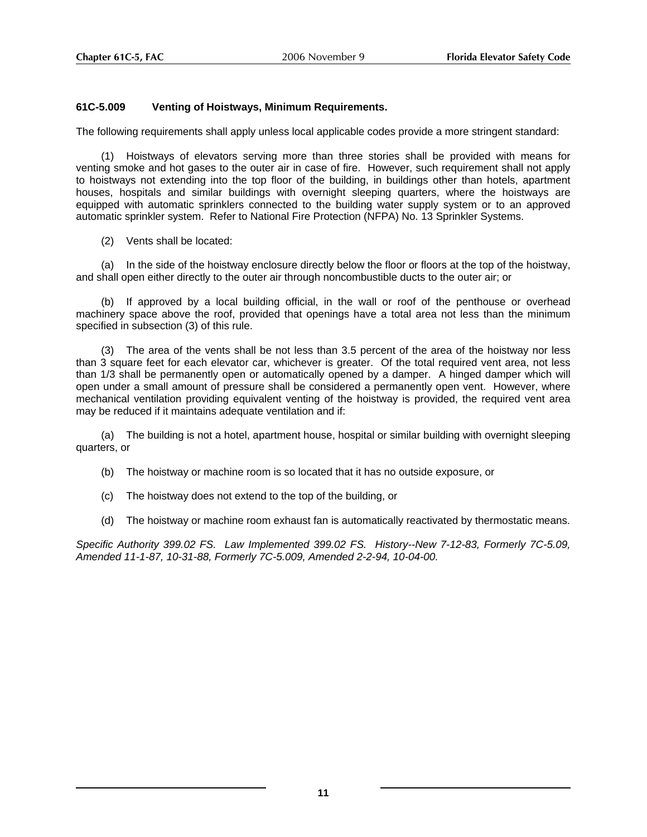## **61C-5.009 Venting of Hoistways, Minimum Requirements.**

The following requirements shall apply unless local applicable codes provide a more stringent standard:

(1) Hoistways of elevators serving more than three stories shall be provided with means for venting smoke and hot gases to the outer air in case of fire. However, such requirement shall not apply to hoistways not extending into the top floor of the building, in buildings other than hotels, apartment houses, hospitals and similar buildings with overnight sleeping quarters, where the hoistways are equipped with automatic sprinklers connected to the building water supply system or to an approved automatic sprinkler system. Refer to National Fire Protection (NFPA) No. 13 Sprinkler Systems.

(2) Vents shall be located:

(a) In the side of the hoistway enclosure directly below the floor or floors at the top of the hoistway, and shall open either directly to the outer air through noncombustible ducts to the outer air; or

(b) If approved by a local building official, in the wall or roof of the penthouse or overhead machinery space above the roof, provided that openings have a total area not less than the minimum specified in subsection (3) of this rule.

(3) The area of the vents shall be not less than 3.5 percent of the area of the hoistway nor less than 3 square feet for each elevator car, whichever is greater. Of the total required vent area, not less than 1/3 shall be permanently open or automatically opened by a damper. A hinged damper which will open under a small amount of pressure shall be considered a permanently open vent. However, where mechanical ventilation providing equivalent venting of the hoistway is provided, the required vent area may be reduced if it maintains adequate ventilation and if:

(a) The building is not a hotel, apartment house, hospital or similar building with overnight sleeping quarters, or

- (b) The hoistway or machine room is so located that it has no outside exposure, or
- (c) The hoistway does not extend to the top of the building, or
- (d) The hoistway or machine room exhaust fan is automatically reactivated by thermostatic means.

*Specific Authority 399.02 FS. Law Implemented 399.02 FS. History--New 7-12-83, Formerly 7C-5.09, Amended 11-1-87, 10-31-88, Formerly 7C-5.009, Amended 2-2-94, 10-04-00.*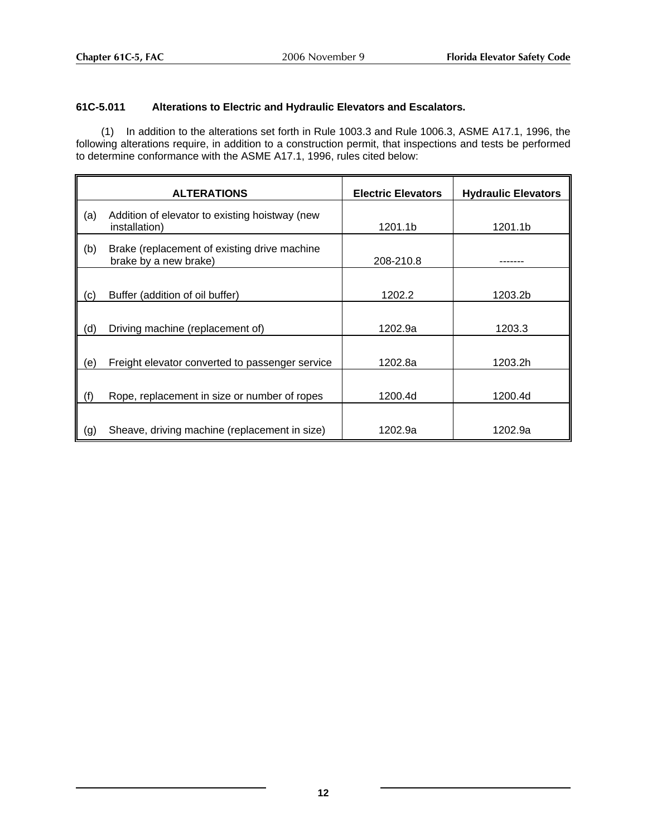# **61C-5.011 Alterations to Electric and Hydraulic Elevators and Escalators.**

(1) In addition to the alterations set forth in Rule 1003.3 and Rule 1006.3, ASME A17.1, 1996, the following alterations require, in addition to a construction permit, that inspections and tests be performed to determine conformance with the ASME A17.1, 1996, rules cited below:

|     | <b>ALTERATIONS</b>                                                    | <b>Electric Elevators</b> | <b>Hydraulic Elevators</b> |
|-----|-----------------------------------------------------------------------|---------------------------|----------------------------|
| (a) | Addition of elevator to existing hoistway (new<br>installation)       | 1201.1b                   | 1201.1b                    |
| (b) | Brake (replacement of existing drive machine<br>brake by a new brake) | 208-210.8                 |                            |
| (c) | Buffer (addition of oil buffer)                                       | 1202.2                    | 1203.2b                    |
| (d) | Driving machine (replacement of)                                      | 1202.9a                   | 1203.3                     |
| (e) | Freight elevator converted to passenger service                       | 1202.8a                   | 1203.2h                    |
| (f) | Rope, replacement in size or number of ropes                          | 1200.4d                   | 1200.4d                    |
| (g) | Sheave, driving machine (replacement in size)                         | 1202.9a                   | 1202.9a                    |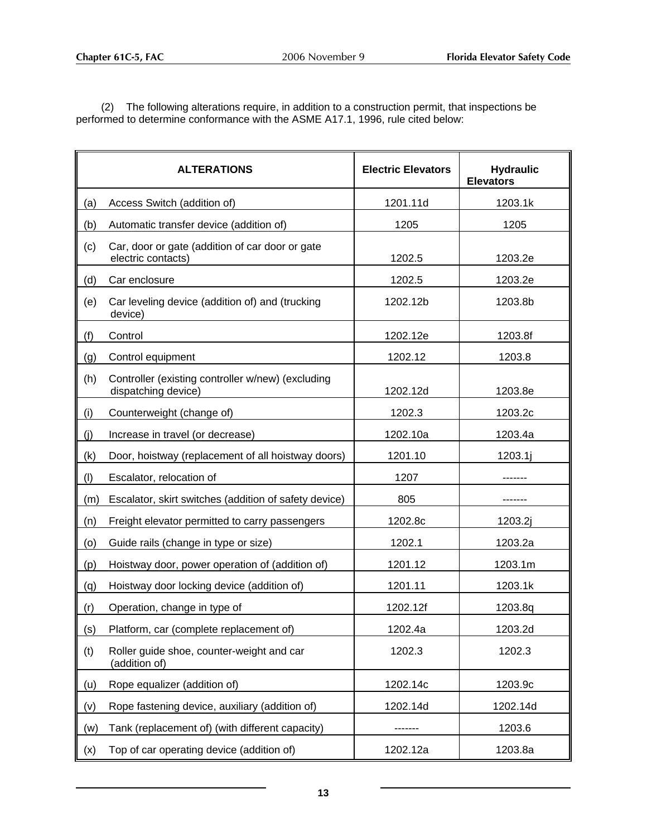(2) The following alterations require, in addition to a construction permit, that inspections be performed to determine conformance with the ASME A17.1, 1996, rule cited below:

|     | <b>ALTERATIONS</b>                                                       | <b>Electric Elevators</b> | <b>Hydraulic</b><br><b>Elevators</b> |
|-----|--------------------------------------------------------------------------|---------------------------|--------------------------------------|
| (a) | Access Switch (addition of)                                              | 1201.11d                  | 1203.1k                              |
| (b) | Automatic transfer device (addition of)                                  | 1205                      | 1205                                 |
| (c) | Car, door or gate (addition of car door or gate<br>electric contacts)    | 1202.5                    | 1203.2e                              |
| (d) | Car enclosure                                                            | 1202.5                    | 1203.2e                              |
| (e) | Car leveling device (addition of) and (trucking<br>device)               | 1202.12b                  | 1203.8b                              |
| (f) | Control                                                                  | 1202.12e                  | 1203.8f                              |
| (g) | Control equipment                                                        | 1202.12                   | 1203.8                               |
| (h) | Controller (existing controller w/new) (excluding<br>dispatching device) | 1202.12d                  | 1203.8e                              |
| (i) | Counterweight (change of)                                                | 1202.3                    | 1203.2c                              |
| (i) | Increase in travel (or decrease)                                         | 1202.10a                  | 1203.4a                              |
| (k) | Door, hoistway (replacement of all hoistway doors)                       | 1201.10                   | 1203.1j                              |
| (1) | Escalator, relocation of                                                 | 1207                      |                                      |
| (m) | Escalator, skirt switches (addition of safety device)                    | 805                       |                                      |
| (n) | Freight elevator permitted to carry passengers                           | 1202.8c                   | 1203.2j                              |
| (o) | Guide rails (change in type or size)                                     | 1202.1                    | 1203.2a                              |
| (p) | Hoistway door, power operation of (addition of)                          | 1201.12                   | 1203.1m                              |
| (q) | Hoistway door locking device (addition of)                               | 1201.11                   | 1203.1k                              |
| (r) | Operation, change in type of                                             | 1202.12f                  | 1203.8q                              |
| (s) | Platform, car (complete replacement of)                                  | 1202.4a                   | 1203.2d                              |
| (t) | Roller guide shoe, counter-weight and car<br>(addition of)               | 1202.3                    | 1202.3                               |
| (u) | Rope equalizer (addition of)                                             | 1202.14c                  | 1203.9c                              |
| (v) | Rope fastening device, auxiliary (addition of)                           | 1202.14d                  | 1202.14d                             |
| (w) | Tank (replacement of) (with different capacity)                          |                           | 1203.6                               |
| (x) | Top of car operating device (addition of)                                | 1202.12a                  | 1203.8a                              |